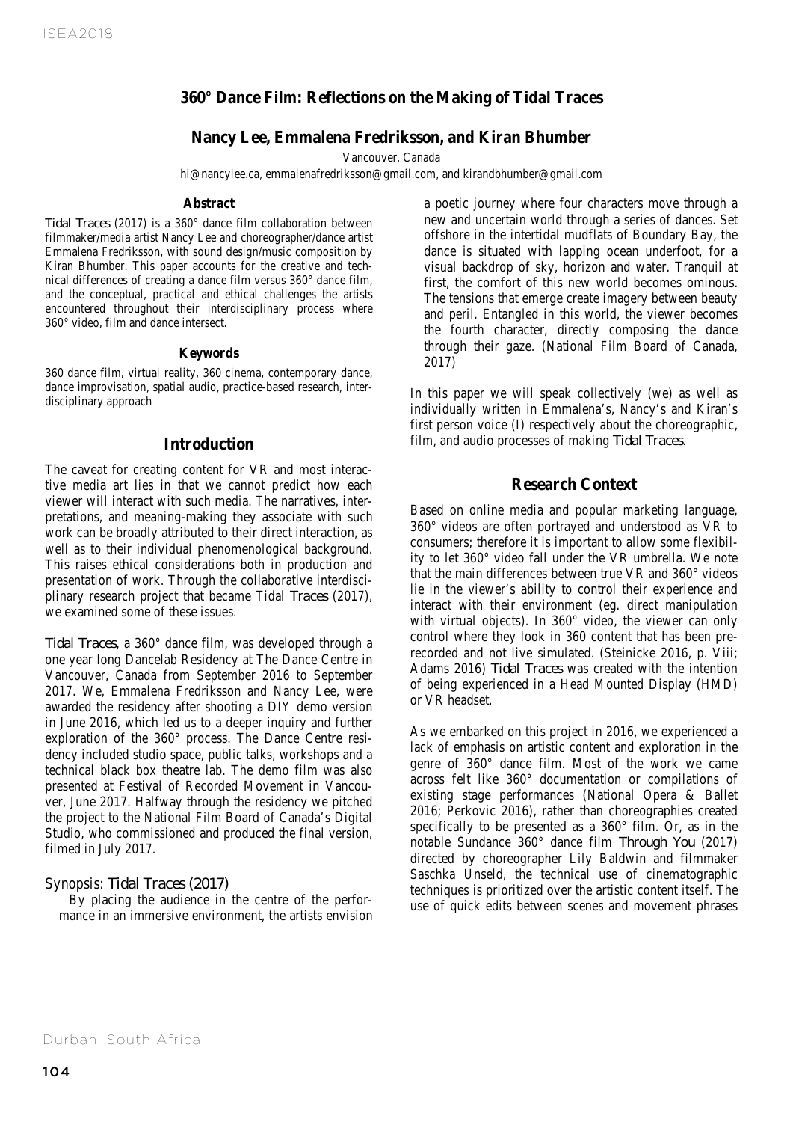# **360° Dance Film: Reflections on the Making of Tidal Traces**

# **Nancy Lee, Emmalena Fredriksson, and Kiran Bhumber**

Vancouver, Canada

hi@nancylee.ca, emmalenafredriksson@gmail.com, and kirandbhumber@gmail.com

#### **Abstract**

encountered throughout their interdisciplinary process where *Tidal Traces* (2017) is a 360° dance film collaboration between filmmaker/media artist Nancy Lee and choreographer/dance artist Emmalena Fredriksson, with sound design/music composition by Kiran Bhumber. This paper accounts for the creative and technical differences of creating a dance film versus 360° dance film, and the conceptual, practical and ethical challenges the artists 360° video, film and dance intersect.

#### **Keywords**

360 dance film, virtual reality, 360 cinema, contemporary dance, dance improvisation, spatial audio, practice-based research, interdisciplinary approach

## **Introduction**

The caveat for creating content for VR and most interactive media art lies in that we cannot predict how each viewer will interact with such media. The narratives, interpretations, and meaning-making they associate with such work can be broadly attributed to their direct interaction, as well as to their individual phenomenological background. This raises ethical considerations both in production and presentation of work. Through the collaborative interdisciplinary research project that became Tidal *Traces* (2017), we examined some of these issues.

*Tidal Traces*, a 360° dance film, was developed through a one year long Dancelab Residency at The Dance Centre in Vancouver, Canada from September 2016 to September 2017. We, Emmalena Fredriksson and Nancy Lee, were awarded the residency after shooting a DIY demo version in June 2016, which led us to a deeper inquiry and further exploration of the 360° process. The Dance Centre residency included studio space, public talks, workshops and a technical black box theatre lab. The demo film was also presented at Festival of Recorded Movement in Vancouver, June 2017. Halfway through the residency we pitched the project to the National Film Board of Canada's Digital Studio, who commissioned and produced the final version, filmed in July 2017.

#### Synopsis: *Tidal Traces (2017)*

 By placing the audience in the centre of the performance in an immersive environment, the artists envision

First, the comfort of this new world becomes ominous.<br>
concentual practical and ethical challenges the artists and the material and ethical challenges the artists a poetic journey where four characters move through a new and uncertain world through a series of dances. Set offshore in the intertidal mudflats of Boundary Bay, the dance is situated with lapping ocean underfoot, for a visual backdrop of sky, horizon and water. Tranquil at The tensions that emerge create imagery between beauty and peril. Entangled in this world, the viewer becomes the fourth character, directly composing the dance through their gaze. (National Film Board of Canada, 2017)

> In this paper we will speak collectively (we) as well as individually written in Emmalena's, Nancy's and Kiran's first person voice (I) respectively about the choreographic, film, and audio processes of making *Tidal Traces*.

#### **Research Context**

Based on online media and popular marketing language, 360° videos are often portrayed and understood as VR to consumers; therefore it is important to allow some flexibility to let 360° video fall under the VR umbrella. We note that the main differences between true VR and 360° videos lie in the viewer's ability to control their experience and interact with their environment (eg. direct manipulation with virtual objects). In 360° video, the viewer can only control where they look in 360 content that has been prerecorded and not live simulated. (Steinicke 2016, p. Viii; Adams 2016) *Tidal Traces* was created with the intention of being experienced in a Head Mounted Display (HMD) or VR headset.

As we embarked on this project in 2016, we experienced a lack of emphasis on artistic content and exploration in the genre of 360° dance film. Most of the work we came across felt like 360° documentation or compilations of existing stage performances (National Opera & Ballet 2016; Perkovic 2016), rather than choreographies created specifically to be presented as a 360° film. Or, as in the notable Sundance 360° dance film *Through You* (2017) directed by choreographer Lily Baldwin and filmmaker Saschka Unseld, the technical use of cinematographic techniques is prioritized over the artistic content itself. The use of quick edits between scenes and movement phrases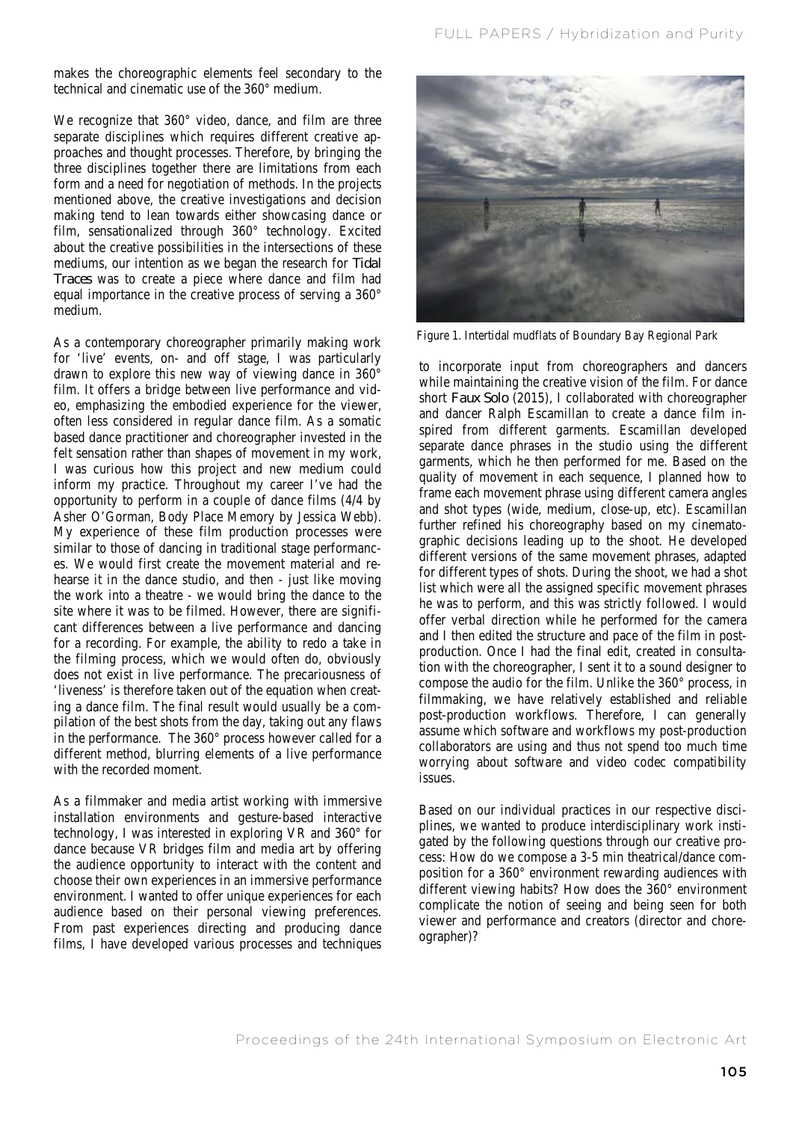makes the choreographic elements feel secondary to the technical and cinematic use of the 360° medium.

We recognize that 360° video, dance, and film are three separate disciplines which requires different creative approaches and thought processes. Therefore, by bringing the three disciplines together there are limitations from each form and a need for negotiation of methods. In the projects mentioned above, the creative investigations and decision making tend to lean towards either showcasing dance or film, sensationalized through 360° technology. Excited about the creative possibilities in the intersections of these mediums, our intention as we began the research for *Tidal Traces* was to create a piece where dance and film had equal importance in the creative process of serving a 360° medium.

As a contemporary choreographer primarily making work for 'live' events, on- and off stage, I was particularly drawn to explore this new way of viewing dance in 360° film. It offers a bridge between live performance and video, emphasizing the embodied experience for the viewer, often less considered in regular dance film. As a somatic based dance practitioner and choreographer invested in the felt sensation rather than shapes of movement in my work, I was curious how this project and new medium could inform my practice. Throughout my career I've had the opportunity to perform in a couple of dance films (4/4 by Asher O'Gorman, Body Place Memory by Jessica Webb). My experience of these film production processes were similar to those of dancing in traditional stage performances. We would first create the movement material and rehearse it in the dance studio, and then - just like moving the work into a theatre - we would bring the dance to the site where it was to be filmed. However, there are significant differences between a live performance and dancing for a recording. For example, the ability to redo a take in the filming process, which we would often do, obviously does not exist in live performance. The precariousness of 'liveness' is therefore taken out of the equation when creating a dance film. The final result would usually be a compilation of the best shots from the day, taking out any flaws in the performance. The 360° process however called for a different method, blurring elements of a live performance with the recorded moment.

As a filmmaker and media artist working with immersive installation environments and gesture-based interactive technology, I was interested in exploring VR and 360° for dance because VR bridges film and media art by offering the audience opportunity to interact with the content and choose their own experiences in an immersive performance environment. I wanted to offer unique experiences for each audience based on their personal viewing preferences. From past experiences directing and producing dance films, I have developed various processes and techniques



Figure 1. Intertidal mudflats of Boundary Bay Regional Park

to incorporate input from choreographers and dancers while maintaining the creative vision of the film. For dance short *Faux Solo* (2015), I collaborated with choreographer and dancer Ralph Escamillan to create a dance film inspired from different garments. Escamillan developed separate dance phrases in the studio using the different garments, which he then performed for me. Based on the quality of movement in each sequence, I planned how to frame each movement phrase using different camera angles and shot types (wide, medium, close-up, etc). Escamillan further refined his choreography based on my cinematographic decisions leading up to the shoot. He developed different versions of the same movement phrases, adapted for different types of shots. During the shoot, we had a shot list which were all the assigned specific movement phrases he was to perform, and this was strictly followed. I would offer verbal direction while he performed for the camera and I then edited the structure and pace of the film in postproduction. Once I had the final edit, created in consultation with the choreographer, I sent it to a sound designer to compose the audio for the film. Unlike the 360° process, in filmmaking, we have relatively established and reliable post-production workflows. Therefore, I can generally assume which software and workflows my post-production collaborators are using and thus not spend too much time worrying about software and video codec compatibility issues.

Based on our individual practices in our respective disciplines, we wanted to produce interdisciplinary work instigated by the following questions through our creative process: How do we compose a 3-5 min theatrical/dance composition for a 360° environment rewarding audiences with different viewing habits? How does the 360° environment complicate the notion of seeing and being seen for both viewer and performance and creators (director and choreographer)?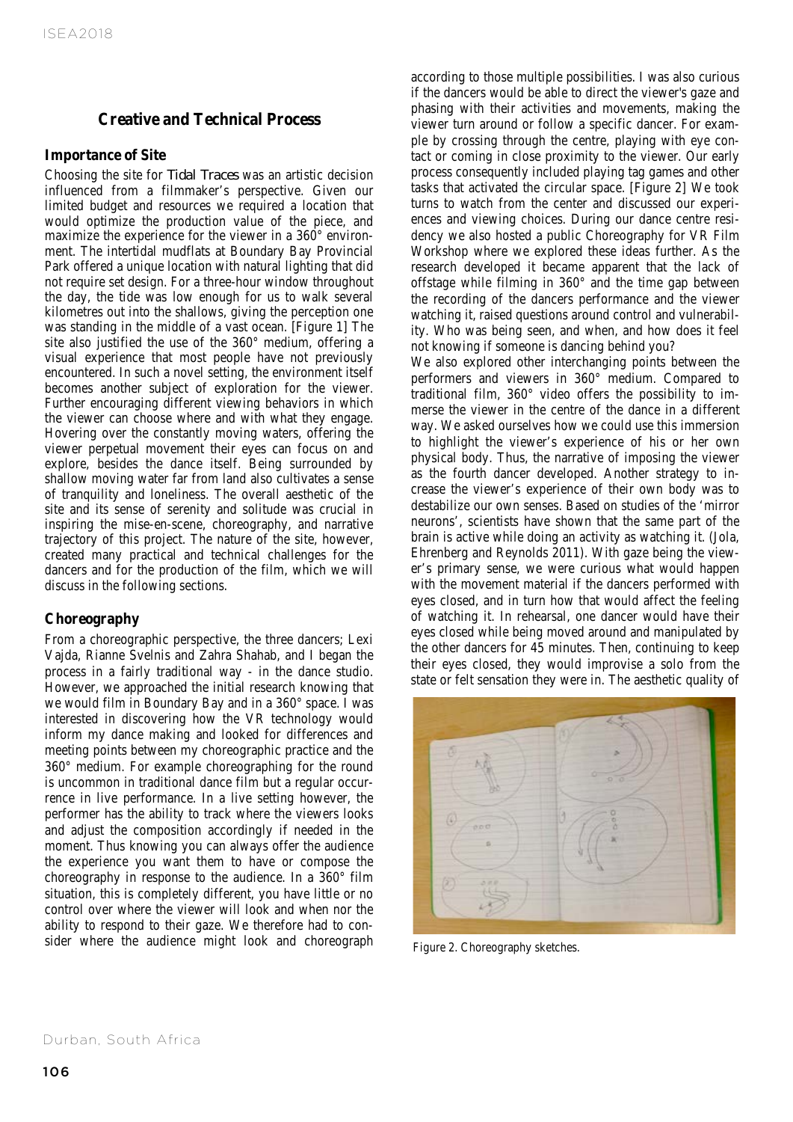# **Creative and Technical Process**

#### **Importance of Site**

Choosing the site for *Tidal Traces* was an artistic decision influenced from a filmmaker's perspective. Given our limited budget and resources we required a location that would optimize the production value of the piece, and maximize the experience for the viewer in a 360° environment. The intertidal mudflats at Boundary Bay Provincial Park offered a unique location with natural lighting that did not require set design. For a three-hour window throughout the day, the tide was low enough for us to walk several kilometres out into the shallows, giving the perception one was standing in the middle of a vast ocean. [Figure 1] The site also justified the use of the 360° medium, offering a visual experience that most people have not previously encountered. In such a novel setting, the environment itself becomes another subject of exploration for the viewer. Further encouraging different viewing behaviors in which the viewer can choose where and with what they engage. Hovering over the constantly moving waters, offering the viewer perpetual movement their eyes can focus on and explore, besides the dance itself. Being surrounded by shallow moving water far from land also cultivates a sense of tranquility and loneliness. The overall aesthetic of the site and its sense of serenity and solitude was crucial in inspiring the mise-en-scene, choreography, and narrative trajectory of this project. The nature of the site, however, created many practical and technical challenges for the dancers and for the production of the film, which we will discuss in the following sections.

# **Choreography**

From a choreographic perspective, the three dancers; Lexi Vajda, Rianne Svelnis and Zahra Shahab, and I began the process in a fairly traditional way - in the dance studio. However, we approached the initial research knowing that we would film in Boundary Bay and in a 360° space. I was interested in discovering how the VR technology would inform my dance making and looked for differences and meeting points between my choreographic practice and the 360° medium. For example choreographing for the round is uncommon in traditional dance film but a regular occurrence in live performance. In a live setting however, the performer has the ability to track where the viewers looks and adjust the composition accordingly if needed in the moment. Thus knowing you can always offer the audience the experience you want them to have or compose the choreography in response to the audience. In a 360° film situation, this is completely different, you have little or no control over where the viewer will look and when nor the ability to respond to their gaze. We therefore had to consider where the audience might look and choreograph according to those multiple possibilities. I was also curious if the dancers would be able to direct the viewer's gaze and phasing with their activities and movements, making the viewer turn around or follow a specific dancer. For example by crossing through the centre, playing with eye contact or coming in close proximity to the viewer. Our early process consequently included playing tag games and other tasks that activated the circular space. [Figure 2] We took turns to watch from the center and discussed our experiences and viewing choices. During our dance centre residency we also hosted a public Choreography for VR Film Workshop where we explored these ideas further. As the research developed it became apparent that the lack of offstage while filming in 360° and the time gap between the recording of the dancers performance and the viewer watching it, raised questions around control and vulnerability. Who was being seen, and when, and how does it feel not knowing if someone is dancing behind you?

We also explored other interchanging points between the performers and viewers in 360° medium. Compared to traditional film, 360° video offers the possibility to immerse the viewer in the centre of the dance in a different way. We asked ourselves how we could use this immersion to highlight the viewer's experience of his or her own physical body. Thus, the narrative of imposing the viewer as the fourth dancer developed. Another strategy to increase the viewer's experience of their own body was to destabilize our own senses. Based on studies of the 'mirror neurons', scientists have shown that the same part of the brain is active while doing an activity as watching it. (Jola, Ehrenberg and Reynolds 2011). With gaze being the viewer's primary sense, we were curious what would happen with the movement material if the dancers performed with eyes closed, and in turn how that would affect the feeling of watching it. In rehearsal, one dancer would have their eyes closed while being moved around and manipulated by the other dancers for 45 minutes. Then, continuing to keep their eyes closed, they would improvise a solo from the state or felt sensation they were in. The aesthetic quality of



Figure 2. Choreography sketches.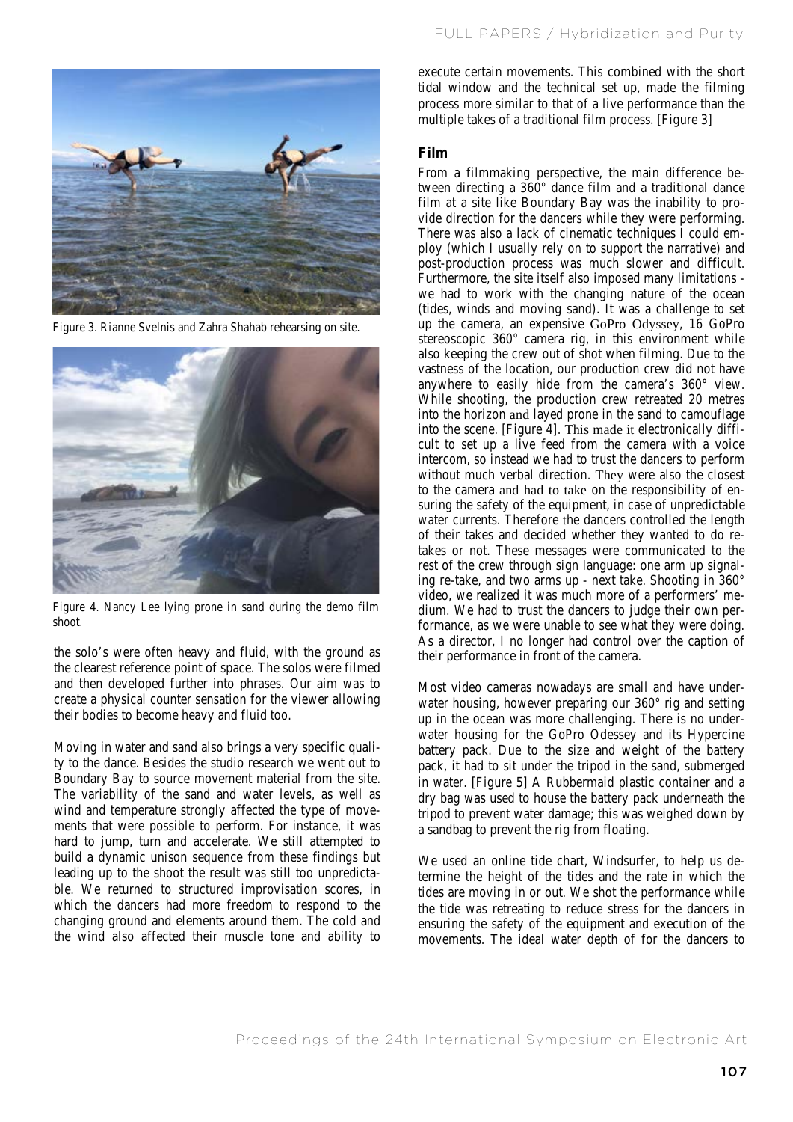

Figure 3. Rianne Svelnis and Zahra Shahab rehearsing on site.



Figure 4. Nancy Lee lying prone in sand during the demo film shoot.

the solo's were often heavy and fluid, with the ground as the clearest reference point of space. The solos were filmed and then developed further into phrases. Our aim was to create a physical counter sensation for the viewer allowing their bodies to become heavy and fluid too.

Moving in water and sand also brings a very specific quality to the dance. Besides the studio research we went out to Boundary Bay to source movement material from the site. The variability of the sand and water levels, as well as wind and temperature strongly affected the type of movements that were possible to perform. For instance, it was hard to jump, turn and accelerate. We still attempted to build a dynamic unison sequence from these findings but leading up to the shoot the result was still too unpredictable. We returned to structured improvisation scores, in which the dancers had more freedom to respond to the changing ground and elements around them. The cold and the wind also affected their muscle tone and ability to

execute certain movements. This combined with the short tidal window and the technical set up, made the filming process more similar to that of a live performance than the multiple takes of a traditional film process. [Figure 3]

## **Film**

From a filmmaking perspective, the main difference between directing a 360° dance film and a traditional dance film at a site like Boundary Bay was the inability to provide direction for the dancers while they were performing. There was also a lack of cinematic techniques I could employ (which I usually rely on to support the narrative) and post-production process was much slower and difficult. Furthermore, the site itself also imposed many limitations we had to work with the changing nature of the ocean (tides, winds and moving sand). It was a challenge to set up the camera, an expensive GoPro Odyssey, 16 GoPro stereoscopic 360° camera rig, in this environment while also keeping the crew out of shot when filming. Due to the vastness of the location, our production crew did not have anywhere to easily hide from the camera's 360° view. While shooting, the production crew retreated 20 metres into the horizon and layed prone in the sand to camouflage into the scene. [Figure 4]. This made it electronically difficult to set up a live feed from the camera with a voice intercom, so instead we had to trust the dancers to perform without much verbal direction. They were also the closest to the camera and had to take on the responsibility of ensuring the safety of the equipment, in case of unpredictable water currents. Therefore the dancers controlled the length of their takes and decided whether they wanted to do retakes or not. These messages were communicated to the rest of the crew through sign language: one arm up signaling re-take, and two arms up - next take. Shooting in 360° video, we realized it was much more of a performers' medium. We had to trust the dancers to judge their own performance, as we were unable to see what they were doing. As a director, I no longer had control over the caption of their performance in front of the camera.

Most video cameras nowadays are small and have underwater housing, however preparing our 360° rig and setting up in the ocean was more challenging. There is no underwater housing for the GoPro Odessey and its Hypercine battery pack. Due to the size and weight of the battery pack, it had to sit under the tripod in the sand, submerged in water. [Figure 5] A Rubbermaid plastic container and a dry bag was used to house the battery pack underneath the tripod to prevent water damage; this was weighed down by a sandbag to prevent the rig from floating.

We used an online tide chart, Windsurfer, to help us determine the height of the tides and the rate in which the tides are moving in or out. We shot the performance while the tide was retreating to reduce stress for the dancers in ensuring the safety of the equipment and execution of the movements. The ideal water depth of for the dancers to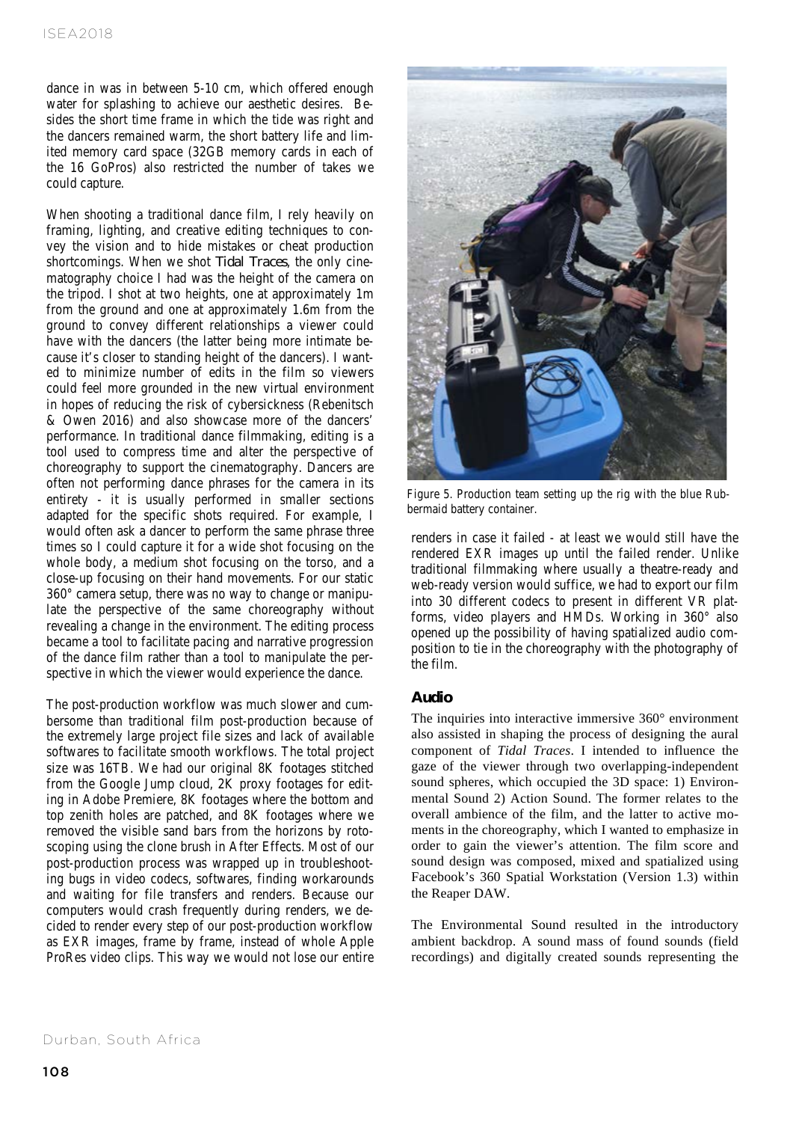dance in was in between 5-10 cm, which offered enough water for splashing to achieve our aesthetic desires. Besides the short time frame in which the tide was right and the dancers remained warm, the short battery life and limited memory card space (32GB memory cards in each of the 16 GoPros) also restricted the number of takes we could capture.

When shooting a traditional dance film, I rely heavily on framing, lighting, and creative editing techniques to convey the vision and to hide mistakes or cheat production shortcomings. When we shot *Tidal Traces*, the only cinematography choice I had was the height of the camera on the tripod. I shot at two heights, one at approximately 1m from the ground and one at approximately 1.6m from the ground to convey different relationships a viewer could have with the dancers (the latter being more intimate because it's closer to standing height of the dancers). I wanted to minimize number of edits in the film so viewers could feel more grounded in the new virtual environment in hopes of reducing the risk of cybersickness (Rebenitsch & Owen 2016) and also showcase more of the dancers' performance. In traditional dance filmmaking, editing is a tool used to compress time and alter the perspective of choreography to support the cinematography. Dancers are often not performing dance phrases for the camera in its entirety - it is usually performed in smaller sections adapted for the specific shots required. For example, I would often ask a dancer to perform the same phrase three times so I could capture it for a wide shot focusing on the whole body, a medium shot focusing on the torso, and a close-up focusing on their hand movements. For our static 360° camera setup, there was no way to change or manipulate the perspective of the same choreography without revealing a change in the environment. The editing process became a tool to facilitate pacing and narrative progression of the dance film rather than a tool to manipulate the perspective in which the viewer would experience the dance.

The post-production workflow was much slower and cumbersome than traditional film post-production because of the extremely large project file sizes and lack of available softwares to facilitate smooth workflows. The total project size was 16TB. We had our original 8K footages stitched from the Google Jump cloud, 2K proxy footages for editing in Adobe Premiere, 8K footages where the bottom and top zenith holes are patched, and 8K footages where we removed the visible sand bars from the horizons by rotoscoping using the clone brush in After Effects. Most of our post-production process was wrapped up in troubleshooting bugs in video codecs, softwares, finding workarounds and waiting for file transfers and renders. Because our computers would crash frequently during renders, we decided to render every step of our post-production workflow as EXR images, frame by frame, instead of whole Apple ProRes video clips. This way we would not lose our entire



Figure 5. Production team setting up the rig with the blue Rubbermaid battery container.

renders in case it failed - at least we would still have the rendered EXR images up until the failed render. Unlike traditional filmmaking where usually a theatre-ready and web-ready version would suffice, we had to export our film into 30 different codecs to present in different VR platforms, video players and HMDs. Working in 360° also opened up the possibility of having spatialized audio composition to tie in the choreography with the photography of the film.

# **Audio**

The inquiries into interactive immersive 360° environment also assisted in shaping the process of designing the aural component of *Tidal Traces*. I intended to influence the gaze of the viewer through two overlapping-independent sound spheres, which occupied the 3D space: 1) Environmental Sound 2) Action Sound. The former relates to the overall ambience of the film, and the latter to active moments in the choreography, which I wanted to emphasize in order to gain the viewer's attention. The film score and sound design was composed, mixed and spatialized using Facebook's 360 Spatial Workstation (Version 1.3) within the Reaper DAW.

The Environmental Sound resulted in the introductory ambient backdrop. A sound mass of found sounds (field recordings) and digitally created sounds representing the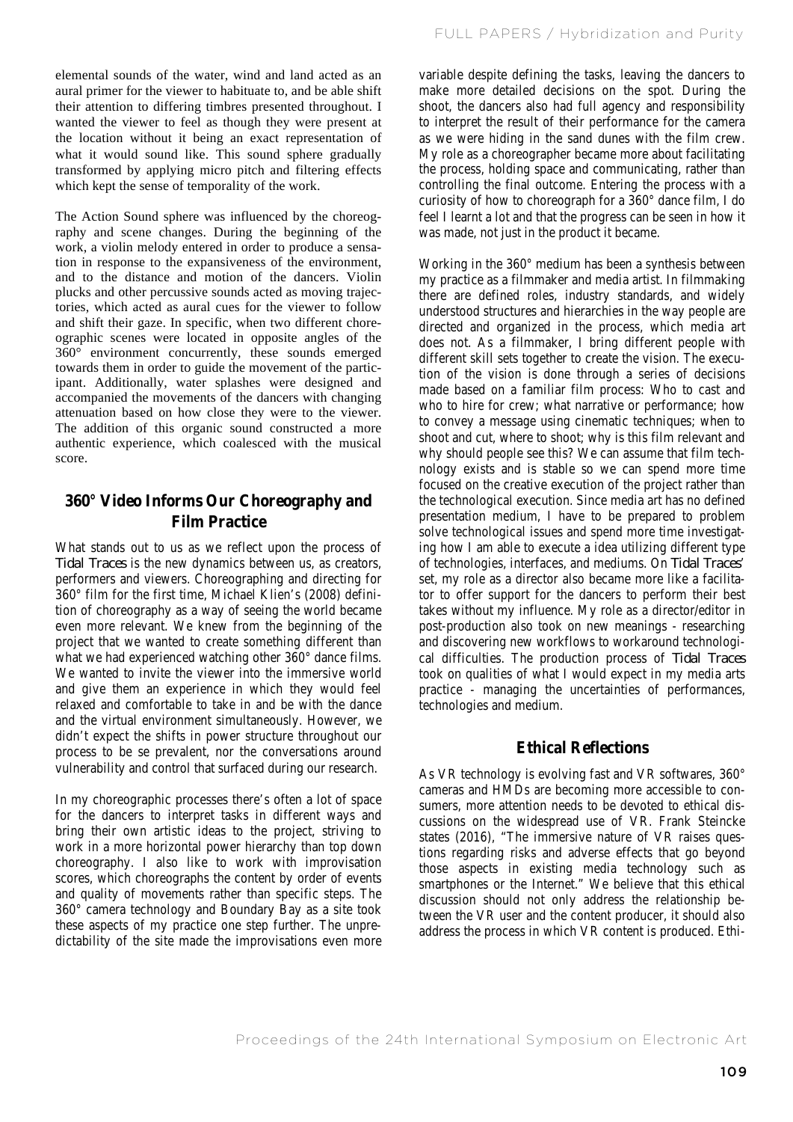elemental sounds of the water, wind and land acted as an aural primer for the viewer to habituate to, and be able shift their attention to differing timbres presented throughout. I wanted the viewer to feel as though they were present at the location without it being an exact representation of what it would sound like. This sound sphere gradually transformed by applying micro pitch and filtering effects which kept the sense of temporality of the work.

The Action Sound sphere was influenced by the choreography and scene changes. During the beginning of the work, a violin melody entered in order to produce a sensation in response to the expansiveness of the environment, and to the distance and motion of the dancers. Violin plucks and other percussive sounds acted as moving trajectories, which acted as aural cues for the viewer to follow and shift their gaze. In specific, when two different choreographic scenes were located in opposite angles of the 360° environment concurrently, these sounds emerged towards them in order to guide the movement of the participant. Additionally, water splashes were designed and accompanied the movements of the dancers with changing attenuation based on how close they were to the viewer. The addition of this organic sound constructed a more authentic experience, which coalesced with the musical score.

# **360° Video Informs Our Choreography and Film Practice**

What stands out to us as we reflect upon the process of *Tidal Traces* is the new dynamics between us, as creators, performers and viewers. Choreographing and directing for 360° film for the first time, Michael Klien's (2008) definition of choreography as a way of seeing the world became even more relevant. We knew from the beginning of the project that we wanted to create something different than what we had experienced watching other 360° dance films. We wanted to invite the viewer into the immersive world and give them an experience in which they would feel relaxed and comfortable to take in and be with the dance and the virtual environment simultaneously. However, we didn't expect the shifts in power structure throughout our process to be se prevalent, nor the conversations around vulnerability and control that surfaced during our research.

In my choreographic processes there's often a lot of space for the dancers to interpret tasks in different ways and bring their own artistic ideas to the project, striving to work in a more horizontal power hierarchy than top down choreography. I also like to work with improvisation scores, which choreographs the content by order of events and quality of movements rather than specific steps. The 360° camera technology and Boundary Bay as a site took these aspects of my practice one step further. The unpredictability of the site made the improvisations even more variable despite defining the tasks, leaving the dancers to make more detailed decisions on the spot. During the shoot, the dancers also had full agency and responsibility to interpret the result of their performance for the camera as we were hiding in the sand dunes with the film crew. My role as a choreographer became more about facilitating the process, holding space and communicating, rather than controlling the final outcome. Entering the process with a curiosity of how to choreograph for a 360° dance film, I do feel I learnt a lot and that the progress can be seen in how it was made, not just in the product it became.

Working in the 360° medium has been a synthesis between my practice as a filmmaker and media artist. In filmmaking there are defined roles, industry standards, and widely understood structures and hierarchies in the way people are directed and organized in the process, which media art does not. As a filmmaker, I bring different people with different skill sets together to create the vision. The execution of the vision is done through a series of decisions made based on a familiar film process: Who to cast and who to hire for crew; what narrative or performance; how to convey a message using cinematic techniques; when to shoot and cut, where to shoot; why is this film relevant and why should people see this? We can assume that film technology exists and is stable so we can spend more time focused on the creative execution of the project rather than the technological execution. Since media art has no defined presentation medium, I have to be prepared to problem solve technological issues and spend more time investigating how I am able to execute a idea utilizing different type of technologies, interfaces, and mediums. On *Tidal Traces*' set, my role as a director also became more like a facilitator to offer support for the dancers to perform their best takes without my influence. My role as a director/editor in post-production also took on new meanings - researching and discovering new workflows to workaround technological difficulties. The production process of *Tidal Traces* took on qualities of what I would expect in my media arts practice - managing the uncertainties of performances, technologies and medium.

# **Ethical Reflections**

As VR technology is evolving fast and VR softwares, 360° cameras and HMDs are becoming more accessible to consumers, more attention needs to be devoted to ethical discussions on the widespread use of VR. Frank Steincke states (2016), "The immersive nature of VR raises questions regarding risks and adverse effects that go beyond those aspects in existing media technology such as smartphones or the Internet." We believe that this ethical discussion should not only address the relationship between the VR user and the content producer, it should also address the process in which VR content is produced. Ethi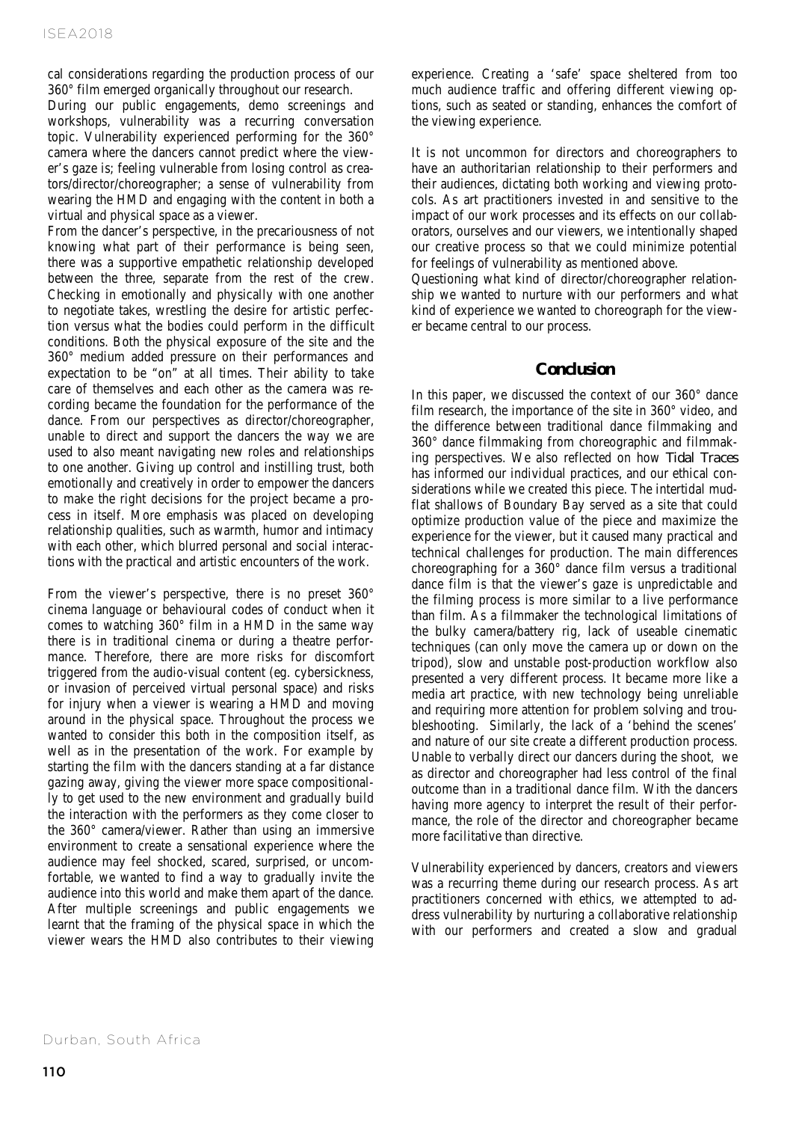cal considerations regarding the production process of our 360° film emerged organically throughout our research.

During our public engagements, demo screenings and workshops, vulnerability was a recurring conversation topic. Vulnerability experienced performing for the 360° camera where the dancers cannot predict where the viewer's gaze is; feeling vulnerable from losing control as creators/director/choreographer; a sense of vulnerability from wearing the HMD and engaging with the content in both a virtual and physical space as a viewer.

From the dancer's perspective, in the precariousness of not knowing what part of their performance is being seen, there was a supportive empathetic relationship developed between the three, separate from the rest of the crew. Checking in emotionally and physically with one another to negotiate takes, wrestling the desire for artistic perfection versus what the bodies could perform in the difficult conditions. Both the physical exposure of the site and the 360° medium added pressure on their performances and expectation to be "on" at all times. Their ability to take care of themselves and each other as the camera was recording became the foundation for the performance of the dance. From our perspectives as director/choreographer, unable to direct and support the dancers the way we are used to also meant navigating new roles and relationships to one another. Giving up control and instilling trust, both emotionally and creatively in order to empower the dancers to make the right decisions for the project became a process in itself. More emphasis was placed on developing relationship qualities, such as warmth, humor and intimacy with each other, which blurred personal and social interactions with the practical and artistic encounters of the work.

From the viewer's perspective, there is no preset 360° cinema language or behavioural codes of conduct when it comes to watching 360° film in a HMD in the same way there is in traditional cinema or during a theatre performance. Therefore, there are more risks for discomfort triggered from the audio-visual content (eg. cybersickness, or invasion of perceived virtual personal space) and risks for injury when a viewer is wearing a HMD and moving around in the physical space. Throughout the process we wanted to consider this both in the composition itself, as well as in the presentation of the work. For example by starting the film with the dancers standing at a far distance gazing away, giving the viewer more space compositionally to get used to the new environment and gradually build the interaction with the performers as they come closer to the 360° camera/viewer. Rather than using an immersive environment to create a sensational experience where the audience may feel shocked, scared, surprised, or uncomfortable, we wanted to find a way to gradually invite the audience into this world and make them apart of the dance. After multiple screenings and public engagements we learnt that the framing of the physical space in which the viewer wears the HMD also contributes to their viewing experience. Creating a 'safe' space sheltered from too much audience traffic and offering different viewing options, such as seated or standing, enhances the comfort of the viewing experience.

It is not uncommon for directors and choreographers to have an authoritarian relationship to their performers and their audiences, dictating both working and viewing protocols. As art practitioners invested in and sensitive to the impact of our work processes and its effects on our collaborators, ourselves and our viewers, we intentionally shaped our creative process so that we could minimize potential for feelings of vulnerability as mentioned above.

Questioning what kind of director/choreographer relationship we wanted to nurture with our performers and what kind of experience we wanted to choreograph for the viewer became central to our process.

## **Conclusion**

In this paper, we discussed the context of our 360° dance film research, the importance of the site in 360° video, and the difference between traditional dance filmmaking and 360° dance filmmaking from choreographic and filmmaking perspectives. We also reflected on how *Tidal Traces* has informed our individual practices, and our ethical considerations while we created this piece. The intertidal mudflat shallows of Boundary Bay served as a site that could optimize production value of the piece and maximize the experience for the viewer, but it caused many practical and technical challenges for production. The main differences choreographing for a 360° dance film versus a traditional dance film is that the viewer's gaze is unpredictable and the filming process is more similar to a live performance than film. As a filmmaker the technological limitations of the bulky camera/battery rig, lack of useable cinematic techniques (can only move the camera up or down on the tripod), slow and unstable post-production workflow also presented a very different process. It became more like a media art practice, with new technology being unreliable and requiring more attention for problem solving and troubleshooting. Similarly, the lack of a 'behind the scenes' and nature of our site create a different production process. Unable to verbally direct our dancers during the shoot, we as director and choreographer had less control of the final outcome than in a traditional dance film. With the dancers having more agency to interpret the result of their performance, the role of the director and choreographer became more facilitative than directive.

Vulnerability experienced by dancers, creators and viewers was a recurring theme during our research process. As art practitioners concerned with ethics, we attempted to address vulnerability by nurturing a collaborative relationship with our performers and created a slow and gradual